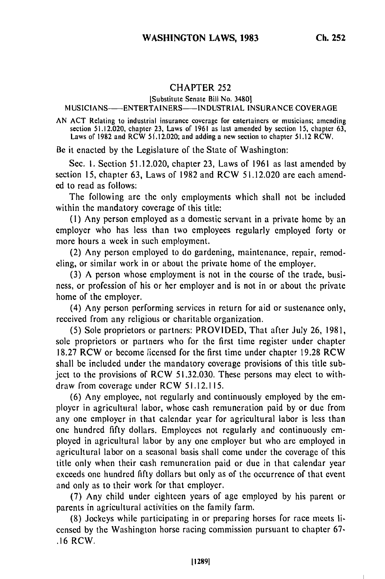## **CHAPTER** 252

[Substitute Senate Bill No. 34801

MUSICIANS---ENTERTAINERS----INDUSTRIAL INSURANCE COVERAGE

AN ACT Relating to industrial insurance coverage for entertainers or musicians; amending section 51.12.020, chapter. 23, Laws of 1961 as last amended by section 15, chapter **63,** Laws of 1982 and RCW 51.12.020; and adding a new section to chapter 51.12 RCW.

Be it enacted by the Legislature of the State of Washington:

Sec. I. Section 51.12.020, chapter 23, Laws of 1961 as last amended by section 15, chapter 63, Laws of 1982 and RCW 51.12.020 are each amended to read as follows:

The following are the only employments which shall not be included within the mandatory coverage of this title:

**(1)** Any person employed as a domestic servant in a private home by an employer who has less than two employees regularly employed forty or more hours a week in such employment.

(2) Any person employed to do gardening, maintenance, repair, remodeling, or similar work in or about the private home of the employer.

(3) A person whose employment is not in the course of the trade, business, or profession of his or her employer and is not in or about the private home of the employer.

(4) Any person performing services in return for aid or sustenance only, received from any religious or charitable organization.

**(5)** Sole proprietors or partners: PROVIDED, That after July 26, 1981, sole proprietors or partners who for the first time register under chapter 18.27 RCW or become licensed for the first time under chapter 19.28 RCW shall be included under the mandatory coverage provisions of this title subject to the provisions of RCW 51.32.030. These persons may elect to withdraw from coverage under RCW 51.12.115.

(6) Any employee, not regularly and continuously employed by the employer in agricultural labor, whose cash remuneration paid by or due from any one employer in that calendar year for agricultural labor is less than one hundred fifty dollars. Employees not regularly and continuously employed in agricultural labor by any one employer but who are employed in agricultural labor on a seasonal basis shall come under the coverage of this title only when their cash remuneration paid or due in that calendar year exceeds one hundred fifty dollars but only as of the occurrence of that event and only as to their work for that employer.

(7) Any child under eighteen years of age employed by his parent or parents in agricultural activities on the family farm.

(8) Jockeys while participating in or preparing horses for race meets licensed by the Washington horse racing commission pursuant to chapter 67- .16 RCW.